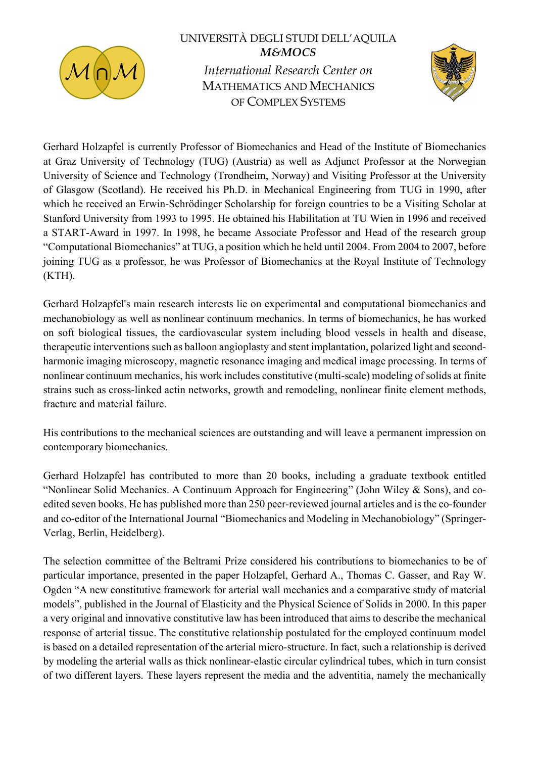

## UNIVERSITÀ DEGLI STUDI DELL'AQUILA **M&MOCS** International Research Center on MATHEMATICS AND MECHANICS OF COMPLEX SYSTEMS



Gerhard Holzapfel is currently Professor of Biomechanics and Head of the Institute of Biomechanics at Graz University of Technology (TUG) (Austria) as well as Adjunct Professor at the Norwegian University of Science and Technology (Trondheim, Norway) and Visiting Professor at the University of Glasgow (Scotland). He received his Ph.D. in Mechanical Engineering from TUG in 1990, after which he received an Erwin-Schrödinger Scholarship for foreign countries to be a Visiting Scholar at Stanford University from 1993 to 1995. He obtained his Habilitation at TU Wien in 1996 and received a START-Award in 1997. In 1998, he became Associate Professor and Head of the research group "Computational Biomechanics" at TUG, a position which he held until 2004. From 2004 to 2007, before joining TUG as a professor, he was Professor of Biomechanics at the Royal Institute of Technology (KTH).

Gerhard Holzapfel's main research interests lie on experimental and computational biomechanics and mechanobiology as well as nonlinear continuum mechanics. In terms of biomechanics, he has worked on soft biological tissues, the cardiovascular system including blood vessels in health and disease, therapeutic interventions such as balloon angioplasty and stent implantation, polarized light and secondharmonic imaging microscopy, magnetic resonance imaging and medical image processing. In terms of nonlinear continuum mechanics, his work includes constitutive (multi-scale) modeling of solids at finite strains such as cross-linked actin networks, growth and remodeling, nonlinear finite element methods, fracture and material failure.

His contributions to the mechanical sciences are outstanding and will leave a permanent impression on contemporary biomechanics.

Gerhard Holzapfel has contributed to more than 20 books, including a graduate textbook entitled "Nonlinear Solid Mechanics. A Continuum Approach for Engineering" (John Wiley & Sons), and coedited seven books. He has published more than 250 peer-reviewed journal articles and is the co-founder and co-editor of the International Journal "Biomechanics and Modeling in Mechanobiology" (Springer-Verlag, Berlin, Heidelberg).

The selection committee of the Beltrami Prize considered his contributions to biomechanics to be of particular importance, presented in the paper Holzapfel, Gerhard A., Thomas C. Gasser, and Ray W. Ogden "A new constitutive framework for arterial wall mechanics and a comparative study of material models", published in the Journal of Elasticity and the Physical Science of Solids in 2000. In this paper a very original and innovative constitutive law has been introduced that aims to describe the mechanical response of arterial tissue. The constitutive relationship postulated for the employed continuum model is based on a detailed representation of the arterial micro-structure. In fact, such a relationship is derived by modeling the arterial walls as thick nonlinear-elastic circular cylindrical tubes, which in turn consist of two different layers. These layers represent the media and the adventitia, namely the mechanically